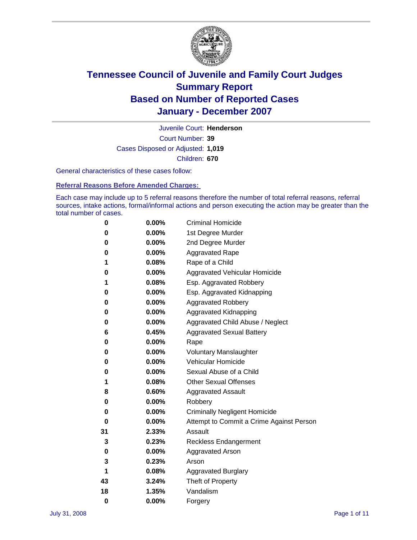

Court Number: **39** Juvenile Court: **Henderson** Cases Disposed or Adjusted: **1,019** Children: **670**

General characteristics of these cases follow:

**Referral Reasons Before Amended Charges:** 

Each case may include up to 5 referral reasons therefore the number of total referral reasons, referral sources, intake actions, formal/informal actions and person executing the action may be greater than the total number of cases.

| 0  | 0.00%    | <b>Criminal Homicide</b>                 |  |  |  |
|----|----------|------------------------------------------|--|--|--|
| 0  | 0.00%    | 1st Degree Murder                        |  |  |  |
| 0  | $0.00\%$ | 2nd Degree Murder                        |  |  |  |
| 0  | 0.00%    | <b>Aggravated Rape</b>                   |  |  |  |
| 1  | 0.08%    | Rape of a Child                          |  |  |  |
| 0  | 0.00%    | Aggravated Vehicular Homicide            |  |  |  |
| 1  | 0.08%    | Esp. Aggravated Robbery                  |  |  |  |
| 0  | $0.00\%$ | Esp. Aggravated Kidnapping               |  |  |  |
| 0  | 0.00%    | <b>Aggravated Robbery</b>                |  |  |  |
| 0  | 0.00%    | Aggravated Kidnapping                    |  |  |  |
| 0  | $0.00\%$ | Aggravated Child Abuse / Neglect         |  |  |  |
| 6  | 0.45%    | <b>Aggravated Sexual Battery</b>         |  |  |  |
| 0  | 0.00%    | Rape                                     |  |  |  |
| 0  | 0.00%    | <b>Voluntary Manslaughter</b>            |  |  |  |
| 0  | 0.00%    | Vehicular Homicide                       |  |  |  |
| 0  | 0.00%    | Sexual Abuse of a Child                  |  |  |  |
| 1  | 0.08%    | <b>Other Sexual Offenses</b>             |  |  |  |
| 8  | 0.60%    | <b>Aggravated Assault</b>                |  |  |  |
| 0  | 0.00%    | Robbery                                  |  |  |  |
| 0  | 0.00%    | <b>Criminally Negligent Homicide</b>     |  |  |  |
| 0  | 0.00%    | Attempt to Commit a Crime Against Person |  |  |  |
| 31 | 2.33%    | Assault                                  |  |  |  |
| 3  | 0.23%    | <b>Reckless Endangerment</b>             |  |  |  |
| 0  | 0.00%    | <b>Aggravated Arson</b>                  |  |  |  |
| 3  | 0.23%    | Arson                                    |  |  |  |
| 1  | 0.08%    | <b>Aggravated Burglary</b>               |  |  |  |
| 43 | 3.24%    | Theft of Property                        |  |  |  |
| 18 | 1.35%    | Vandalism                                |  |  |  |
| 0  | 0.00%    | Forgery                                  |  |  |  |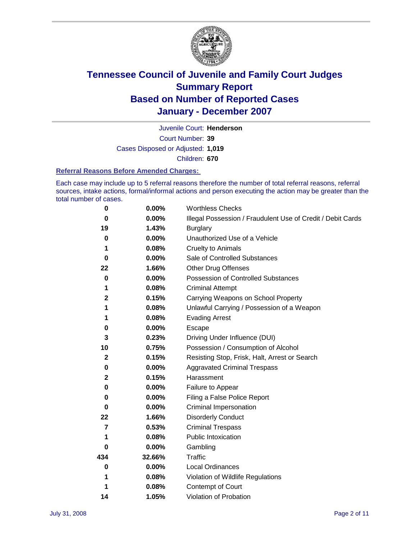

Court Number: **39** Juvenile Court: **Henderson** Cases Disposed or Adjusted: **1,019** Children: **670**

#### **Referral Reasons Before Amended Charges:**

Each case may include up to 5 referral reasons therefore the number of total referral reasons, referral sources, intake actions, formal/informal actions and person executing the action may be greater than the total number of cases.

| 0                       | 0.00%  | <b>Worthless Checks</b>                                     |
|-------------------------|--------|-------------------------------------------------------------|
| 0                       | 0.00%  | Illegal Possession / Fraudulent Use of Credit / Debit Cards |
| 19                      | 1.43%  | <b>Burglary</b>                                             |
| 0                       | 0.00%  | Unauthorized Use of a Vehicle                               |
| 1                       | 0.08%  | <b>Cruelty to Animals</b>                                   |
| 0                       | 0.00%  | Sale of Controlled Substances                               |
| 22                      | 1.66%  | <b>Other Drug Offenses</b>                                  |
| 0                       | 0.00%  | Possession of Controlled Substances                         |
| 1                       | 0.08%  | <b>Criminal Attempt</b>                                     |
| $\mathbf 2$             | 0.15%  | Carrying Weapons on School Property                         |
| 1                       | 0.08%  | Unlawful Carrying / Possession of a Weapon                  |
| 1                       | 0.08%  | <b>Evading Arrest</b>                                       |
| 0                       | 0.00%  | Escape                                                      |
| 3                       | 0.23%  | Driving Under Influence (DUI)                               |
| 10                      | 0.75%  | Possession / Consumption of Alcohol                         |
| $\mathbf{2}$            | 0.15%  | Resisting Stop, Frisk, Halt, Arrest or Search               |
| 0                       | 0.00%  | <b>Aggravated Criminal Trespass</b>                         |
| $\mathbf 2$             | 0.15%  | Harassment                                                  |
| 0                       | 0.00%  | Failure to Appear                                           |
| 0                       | 0.00%  | Filing a False Police Report                                |
| 0                       | 0.00%  | Criminal Impersonation                                      |
| 22                      | 1.66%  | <b>Disorderly Conduct</b>                                   |
| $\overline{\mathbf{z}}$ | 0.53%  | <b>Criminal Trespass</b>                                    |
| 1                       | 0.08%  | <b>Public Intoxication</b>                                  |
| 0                       | 0.00%  | Gambling                                                    |
| 434                     | 32.66% | Traffic                                                     |
| 0                       | 0.00%  | <b>Local Ordinances</b>                                     |
| 1                       | 0.08%  | Violation of Wildlife Regulations                           |
| 1                       | 0.08%  | Contempt of Court                                           |
| 14                      | 1.05%  | Violation of Probation                                      |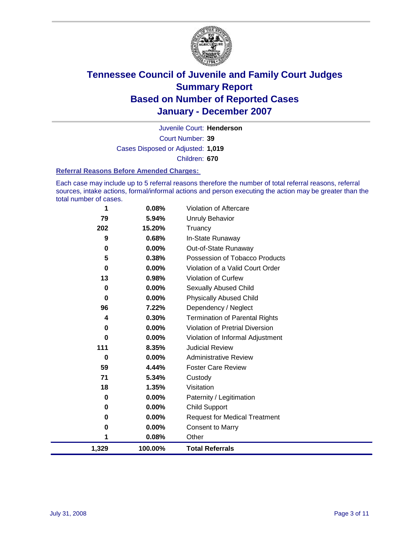

Court Number: **39** Juvenile Court: **Henderson** Cases Disposed or Adjusted: **1,019** Children: **670**

#### **Referral Reasons Before Amended Charges:**

Each case may include up to 5 referral reasons therefore the number of total referral reasons, referral sources, intake actions, formal/informal actions and person executing the action may be greater than the total number of cases.

| 1        | 0.08%   | Violation of Aftercare                |
|----------|---------|---------------------------------------|
| 79       | 5.94%   | <b>Unruly Behavior</b>                |
| 202      | 15.20%  | Truancy                               |
| 9        | 0.68%   | In-State Runaway                      |
| 0        | 0.00%   | Out-of-State Runaway                  |
| 5        | 0.38%   | Possession of Tobacco Products        |
| 0        | 0.00%   | Violation of a Valid Court Order      |
| 13       | 0.98%   | <b>Violation of Curfew</b>            |
| 0        | 0.00%   | Sexually Abused Child                 |
| 0        | 0.00%   | <b>Physically Abused Child</b>        |
| 96       | 7.22%   | Dependency / Neglect                  |
| 4        | 0.30%   | <b>Termination of Parental Rights</b> |
| 0        | 0.00%   | Violation of Pretrial Diversion       |
| $\bf{0}$ | 0.00%   | Violation of Informal Adjustment      |
| 111      | 8.35%   | <b>Judicial Review</b>                |
| 0        | 0.00%   | <b>Administrative Review</b>          |
| 59       | 4.44%   | <b>Foster Care Review</b>             |
| 71       | 5.34%   | Custody                               |
| 18       | 1.35%   | Visitation                            |
| 0        | 0.00%   | Paternity / Legitimation              |
| 0        | 0.00%   | <b>Child Support</b>                  |
| 0        | 0.00%   | <b>Request for Medical Treatment</b>  |
| 0        | 0.00%   | <b>Consent to Marry</b>               |
| 1        | 0.08%   | Other                                 |
| 1,329    | 100.00% | <b>Total Referrals</b>                |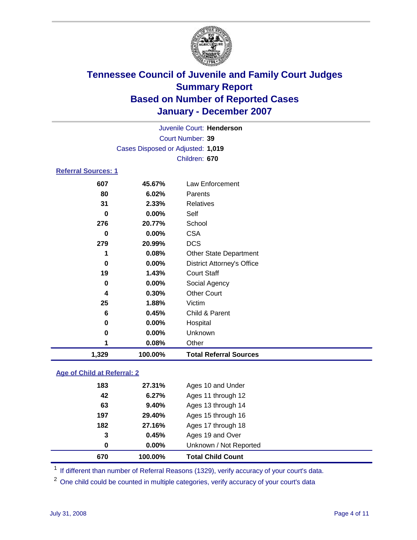

Court Number: **39** Juvenile Court: **Henderson** Cases Disposed or Adjusted: **1,019** Children: **670**

### **Referral Sources: 1**

| 1,329    | 100.00% | <b>Total Referral Sources</b>     |
|----------|---------|-----------------------------------|
|          | 0.08%   | Other                             |
| 0        | 0.00%   | Unknown                           |
| 0        | 0.00%   | Hospital                          |
| 6        | 0.45%   | Child & Parent                    |
| 25       | 1.88%   | Victim                            |
| 4        | 0.30%   | <b>Other Court</b>                |
| 0        | 0.00%   | Social Agency                     |
| 19       | 1.43%   | <b>Court Staff</b>                |
| 0        | 0.00%   | <b>District Attorney's Office</b> |
|          | 0.08%   | <b>Other State Department</b>     |
| 279      | 20.99%  | <b>DCS</b>                        |
| 0        | 0.00%   | <b>CSA</b>                        |
| 276      | 20.77%  | School                            |
| $\bf{0}$ | 0.00%   | Self                              |
| 31       | 2.33%   | Relatives                         |
| 80       | 6.02%   | Parents                           |
|          | 45.67%  | Law Enforcement                   |
|          | 607     |                                   |

### **Age of Child at Referral: 2**

| 670 | 100.00%  | <b>Total Child Count</b> |  |
|-----|----------|--------------------------|--|
| 0   | $0.00\%$ | Unknown / Not Reported   |  |
| 3   | 0.45%    | Ages 19 and Over         |  |
| 182 | 27.16%   | Ages 17 through 18       |  |
| 197 | 29.40%   | Ages 15 through 16       |  |
| 63  | 9.40%    | Ages 13 through 14       |  |
| 42  | 6.27%    | Ages 11 through 12       |  |
| 183 | 27.31%   | Ages 10 and Under        |  |
|     |          |                          |  |

<sup>1</sup> If different than number of Referral Reasons (1329), verify accuracy of your court's data.

<sup>2</sup> One child could be counted in multiple categories, verify accuracy of your court's data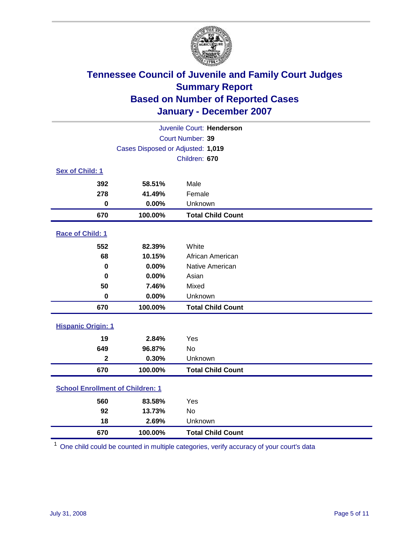

| Juvenile Court: Henderson               |                                   |                          |  |  |  |
|-----------------------------------------|-----------------------------------|--------------------------|--|--|--|
|                                         | Court Number: 39                  |                          |  |  |  |
|                                         | Cases Disposed or Adjusted: 1,019 |                          |  |  |  |
|                                         |                                   | Children: 670            |  |  |  |
| Sex of Child: 1                         |                                   |                          |  |  |  |
| 392                                     | 58.51%                            | Male                     |  |  |  |
| 278                                     | 41.49%                            | Female                   |  |  |  |
| $\bf{0}$                                | 0.00%                             | Unknown                  |  |  |  |
| 670                                     | 100.00%                           | <b>Total Child Count</b> |  |  |  |
| Race of Child: 1                        |                                   |                          |  |  |  |
| 552                                     | 82.39%                            | White                    |  |  |  |
| 68                                      | 10.15%                            | African American         |  |  |  |
| 0                                       | 0.00%                             | Native American          |  |  |  |
| $\bf{0}$                                | 0.00%                             | Asian                    |  |  |  |
| 50                                      | 7.46%                             | Mixed                    |  |  |  |
| $\bf{0}$                                | 0.00%                             | Unknown                  |  |  |  |
| 670                                     | 100.00%                           | <b>Total Child Count</b> |  |  |  |
| <b>Hispanic Origin: 1</b>               |                                   |                          |  |  |  |
| 19                                      | 2.84%                             | Yes                      |  |  |  |
| 649                                     | 96.87%                            | No                       |  |  |  |
| $\mathbf{2}$                            | 0.30%                             | Unknown                  |  |  |  |
| 670                                     | 100.00%                           | <b>Total Child Count</b> |  |  |  |
| <b>School Enrollment of Children: 1</b> |                                   |                          |  |  |  |
| 560                                     | 83.58%                            | Yes                      |  |  |  |
| 92                                      | 13.73%                            | <b>No</b>                |  |  |  |
| 18                                      | 2.69%                             | Unknown                  |  |  |  |
| 670                                     | 100.00%                           | <b>Total Child Count</b> |  |  |  |

One child could be counted in multiple categories, verify accuracy of your court's data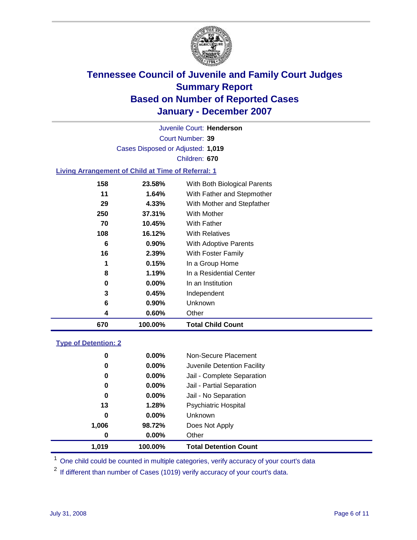

Court Number: **39** Juvenile Court: **Henderson** Cases Disposed or Adjusted: **1,019** Children: **670**

#### **Living Arrangement of Child at Time of Referral: 1**

|     |          | <b>Total Child Count</b>     |
|-----|----------|------------------------------|
| 4   | 0.60%    | Other                        |
| 6   | $0.90\%$ | Unknown                      |
| 3   | 0.45%    | Independent                  |
| 0   | 0.00%    | In an Institution            |
| 8   | 1.19%    | In a Residential Center      |
| 1   | 0.15%    | In a Group Home              |
| 16  | 2.39%    | With Foster Family           |
| 6   | 0.90%    | With Adoptive Parents        |
| 108 | 16.12%   | <b>With Relatives</b>        |
| 70  | 10.45%   | <b>With Father</b>           |
| 250 | 37.31%   | With Mother                  |
| 29  | 4.33%    | With Mother and Stepfather   |
| 11  | 1.64%    | With Father and Stepmother   |
| 158 | 23.58%   | With Both Biological Parents |
|     |          | 670<br>100.00%               |

#### **Type of Detention: 2**

| 1.019 | 100.00%  | <b>Total Detention Count</b> |  |
|-------|----------|------------------------------|--|
| 0     | 0.00%    | Other                        |  |
| 1,006 | 98.72%   | Does Not Apply               |  |
| 0     | $0.00\%$ | <b>Unknown</b>               |  |
| 13    | 1.28%    | <b>Psychiatric Hospital</b>  |  |
| 0     | 0.00%    | Jail - No Separation         |  |
| 0     | $0.00\%$ | Jail - Partial Separation    |  |
| 0     | $0.00\%$ | Jail - Complete Separation   |  |
| 0     | 0.00%    | Juvenile Detention Facility  |  |
| 0     | $0.00\%$ | Non-Secure Placement         |  |
|       |          |                              |  |

<sup>1</sup> One child could be counted in multiple categories, verify accuracy of your court's data

<sup>2</sup> If different than number of Cases (1019) verify accuracy of your court's data.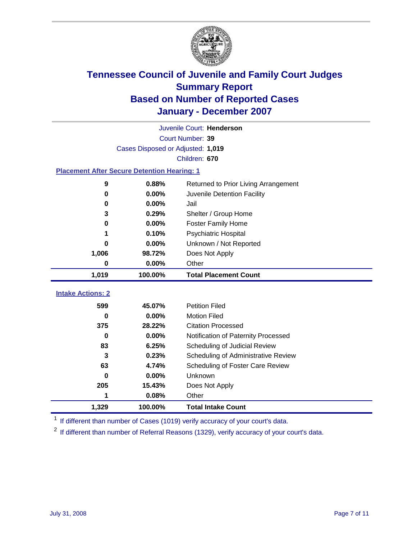

|                                                    | Juvenile Court: Henderson         |                                      |  |  |  |
|----------------------------------------------------|-----------------------------------|--------------------------------------|--|--|--|
|                                                    | Court Number: 39                  |                                      |  |  |  |
|                                                    | Cases Disposed or Adjusted: 1,019 |                                      |  |  |  |
|                                                    | Children: 670                     |                                      |  |  |  |
| <b>Placement After Secure Detention Hearing: 1</b> |                                   |                                      |  |  |  |
| 9                                                  | 0.88%                             | Returned to Prior Living Arrangement |  |  |  |
| $\bf{0}$                                           | 0.00%                             | Juvenile Detention Facility          |  |  |  |
| 0                                                  | 0.00%                             | Jail                                 |  |  |  |
| 3                                                  | 0.29%                             | Shelter / Group Home                 |  |  |  |
| 0                                                  | 0.00%                             | <b>Foster Family Home</b>            |  |  |  |
| 1                                                  | 0.10%                             | <b>Psychiatric Hospital</b>          |  |  |  |
| O                                                  | 0.00%                             | Unknown / Not Reported               |  |  |  |
| 1,006                                              | 98.72%                            | Does Not Apply                       |  |  |  |
| 0                                                  | 0.00%                             | Other                                |  |  |  |
| 1,019                                              | 100.00%                           | <b>Total Placement Count</b>         |  |  |  |
|                                                    |                                   |                                      |  |  |  |
| <b>Intake Actions: 2</b>                           |                                   |                                      |  |  |  |
| 599                                                | 45.07%                            | <b>Petition Filed</b>                |  |  |  |
| 0                                                  | 0.00%                             | <b>Motion Filed</b>                  |  |  |  |
| 375                                                | 28.22%                            | <b>Citation Processed</b>            |  |  |  |
| 0                                                  | 0.00%                             | Notification of Paternity Processed  |  |  |  |
| 83                                                 | 6.25%                             | Scheduling of Judicial Review        |  |  |  |
| 3                                                  | 0.23%                             | Scheduling of Administrative Review  |  |  |  |
| 63                                                 | 4.74%                             | Scheduling of Foster Care Review     |  |  |  |
| 0                                                  | 0.00%                             | Unknown                              |  |  |  |
| 205                                                | 15.43%                            | Does Not Apply                       |  |  |  |
| 1                                                  | 0.08%                             | Other                                |  |  |  |
| 1,329                                              | 100.00%                           | <b>Total Intake Count</b>            |  |  |  |

<sup>1</sup> If different than number of Cases (1019) verify accuracy of your court's data.

<sup>2</sup> If different than number of Referral Reasons (1329), verify accuracy of your court's data.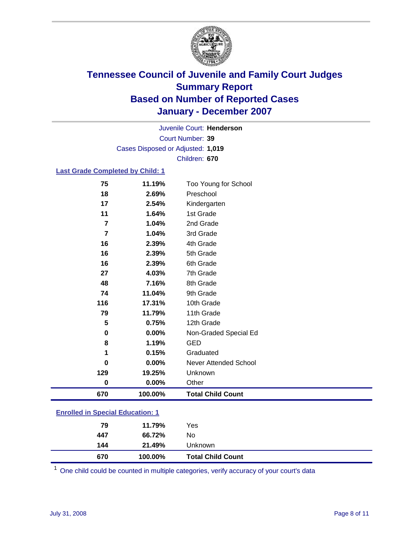

Court Number: **39** Juvenile Court: **Henderson** Cases Disposed or Adjusted: **1,019** Children: **670**

### **Last Grade Completed by Child: 1**

| 75        | 11.19%  | Too Young for School     |
|-----------|---------|--------------------------|
| 18        | 2.69%   | Preschool                |
| 17        | 2.54%   | Kindergarten             |
| 11        | 1.64%   | 1st Grade                |
| 7         | 1.04%   | 2nd Grade                |
| 7         | 1.04%   | 3rd Grade                |
| 16        | 2.39%   | 4th Grade                |
| 16        | 2.39%   | 5th Grade                |
| 16        | 2.39%   | 6th Grade                |
| 27        | 4.03%   | 7th Grade                |
| 48        | 7.16%   | 8th Grade                |
| 74        | 11.04%  | 9th Grade                |
| 116       | 17.31%  | 10th Grade               |
| 79        | 11.79%  | 11th Grade               |
| 5         | 0.75%   | 12th Grade               |
| $\bf{0}$  | 0.00%   | Non-Graded Special Ed    |
| 8         | 1.19%   | <b>GED</b>               |
| 1         | 0.15%   | Graduated                |
| 0         | 0.00%   | Never Attended School    |
| 129       | 19.25%  | Unknown                  |
| $\pmb{0}$ | 0.00%   | Other                    |
| 670       | 100.00% | <b>Total Child Count</b> |

### **Enrolled in Special Education: 1**

| 670 | 100.00% | <b>Total Child Count</b> |  |
|-----|---------|--------------------------|--|
| 144 | 21.49%  | Unknown                  |  |
| 447 | 66.72%  | No                       |  |
| 79  | 11.79%  | Yes                      |  |
|     |         |                          |  |

<sup>1</sup> One child could be counted in multiple categories, verify accuracy of your court's data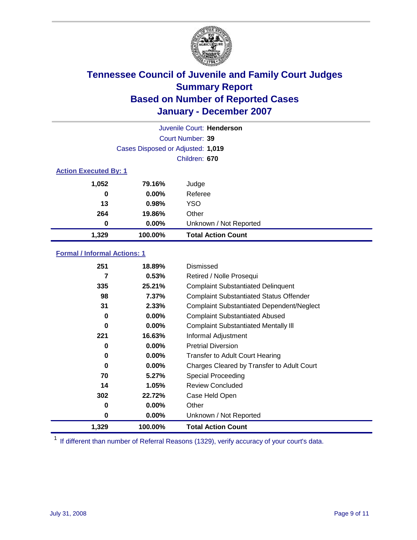

| Juvenile Court: Henderson    |                                   |                           |  |  |
|------------------------------|-----------------------------------|---------------------------|--|--|
|                              | Court Number: 39                  |                           |  |  |
|                              | Cases Disposed or Adjusted: 1,019 |                           |  |  |
|                              |                                   | Children: 670             |  |  |
| <b>Action Executed By: 1</b> |                                   |                           |  |  |
| 1,052                        | 79.16%                            | Judge                     |  |  |
| 0                            | $0.00\%$                          | Referee                   |  |  |
| 13                           | 0.98%                             | <b>YSO</b>                |  |  |
| 264                          | 19.86%                            | Other                     |  |  |
| 0                            | 0.00%                             | Unknown / Not Reported    |  |  |
| 1,329                        | 100.00%                           | <b>Total Action Count</b> |  |  |

### **Formal / Informal Actions: 1**

| 251   | 18.89%   | Dismissed                                        |
|-------|----------|--------------------------------------------------|
| 7     | 0.53%    | Retired / Nolle Prosequi                         |
| 335   | 25.21%   | <b>Complaint Substantiated Delinquent</b>        |
| 98    | $7.37\%$ | <b>Complaint Substantiated Status Offender</b>   |
| 31    | 2.33%    | <b>Complaint Substantiated Dependent/Neglect</b> |
| 0     | $0.00\%$ | <b>Complaint Substantiated Abused</b>            |
| 0     | $0.00\%$ | <b>Complaint Substantiated Mentally III</b>      |
| 221   | 16.63%   | Informal Adjustment                              |
| 0     | $0.00\%$ | <b>Pretrial Diversion</b>                        |
| 0     | $0.00\%$ | <b>Transfer to Adult Court Hearing</b>           |
| 0     | $0.00\%$ | Charges Cleared by Transfer to Adult Court       |
| 70    | 5.27%    | Special Proceeding                               |
| 14    | 1.05%    | <b>Review Concluded</b>                          |
| 302   | 22.72%   | Case Held Open                                   |
| 0     | $0.00\%$ | Other                                            |
| 0     | $0.00\%$ | Unknown / Not Reported                           |
| 1,329 | 100.00%  | <b>Total Action Count</b>                        |

<sup>1</sup> If different than number of Referral Reasons (1329), verify accuracy of your court's data.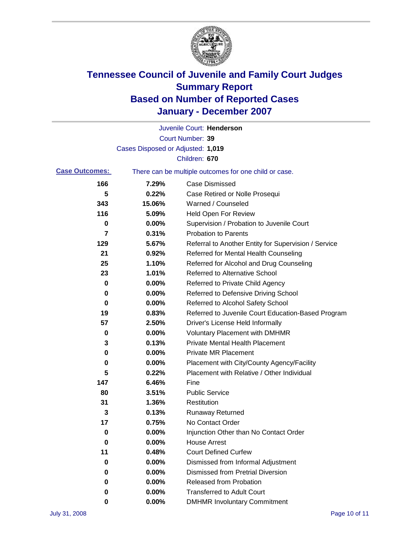

|                                                                                |                                   | Juvenile Court: Henderson                            |
|--------------------------------------------------------------------------------|-----------------------------------|------------------------------------------------------|
|                                                                                |                                   | Court Number: 39                                     |
|                                                                                | Cases Disposed or Adjusted: 1,019 |                                                      |
|                                                                                |                                   | Children: 670                                        |
| <b>Case Outcomes:</b><br>There can be multiple outcomes for one child or case. |                                   |                                                      |
| 166                                                                            | 7.29%                             | <b>Case Dismissed</b>                                |
| 5                                                                              | 0.22%                             | Case Retired or Nolle Prosequi                       |
| 343                                                                            | 15.06%                            | Warned / Counseled                                   |
| 116                                                                            | 5.09%                             | Held Open For Review                                 |
| 0                                                                              | 0.00%                             | Supervision / Probation to Juvenile Court            |
| 7                                                                              | 0.31%                             | <b>Probation to Parents</b>                          |
| 129                                                                            | 5.67%                             | Referral to Another Entity for Supervision / Service |
| 21                                                                             | 0.92%                             | Referred for Mental Health Counseling                |
| 25                                                                             | 1.10%                             | Referred for Alcohol and Drug Counseling             |
| 23                                                                             | 1.01%                             | <b>Referred to Alternative School</b>                |
| 0                                                                              | 0.00%                             | Referred to Private Child Agency                     |
| 0                                                                              | 0.00%                             | Referred to Defensive Driving School                 |
| 0                                                                              | 0.00%                             | Referred to Alcohol Safety School                    |
| 19                                                                             | 0.83%                             | Referred to Juvenile Court Education-Based Program   |
| 57                                                                             | 2.50%                             | Driver's License Held Informally                     |
| 0                                                                              | 0.00%                             | <b>Voluntary Placement with DMHMR</b>                |
| 3                                                                              | 0.13%                             | <b>Private Mental Health Placement</b>               |
| 0                                                                              | 0.00%                             | <b>Private MR Placement</b>                          |
| 0                                                                              | 0.00%                             | Placement with City/County Agency/Facility           |
| 5                                                                              | 0.22%                             | Placement with Relative / Other Individual           |
| 147                                                                            | 6.46%                             | Fine                                                 |
| 80                                                                             | 3.51%                             | <b>Public Service</b>                                |
| 31                                                                             | 1.36%                             | Restitution                                          |
| 3                                                                              | 0.13%                             | <b>Runaway Returned</b>                              |
| 17                                                                             | 0.75%                             | No Contact Order                                     |
| 0                                                                              | $0.00\%$                          | Injunction Other than No Contact Order               |
| 0                                                                              | 0.00%                             | <b>House Arrest</b>                                  |
| 11                                                                             | 0.48%                             | <b>Court Defined Curfew</b>                          |
| 0                                                                              | 0.00%                             | Dismissed from Informal Adjustment                   |
| 0                                                                              | 0.00%                             | <b>Dismissed from Pretrial Diversion</b>             |
| 0                                                                              | 0.00%                             | <b>Released from Probation</b>                       |
| 0                                                                              | 0.00%                             | <b>Transferred to Adult Court</b>                    |
| 0                                                                              | 0.00%                             | <b>DMHMR Involuntary Commitment</b>                  |